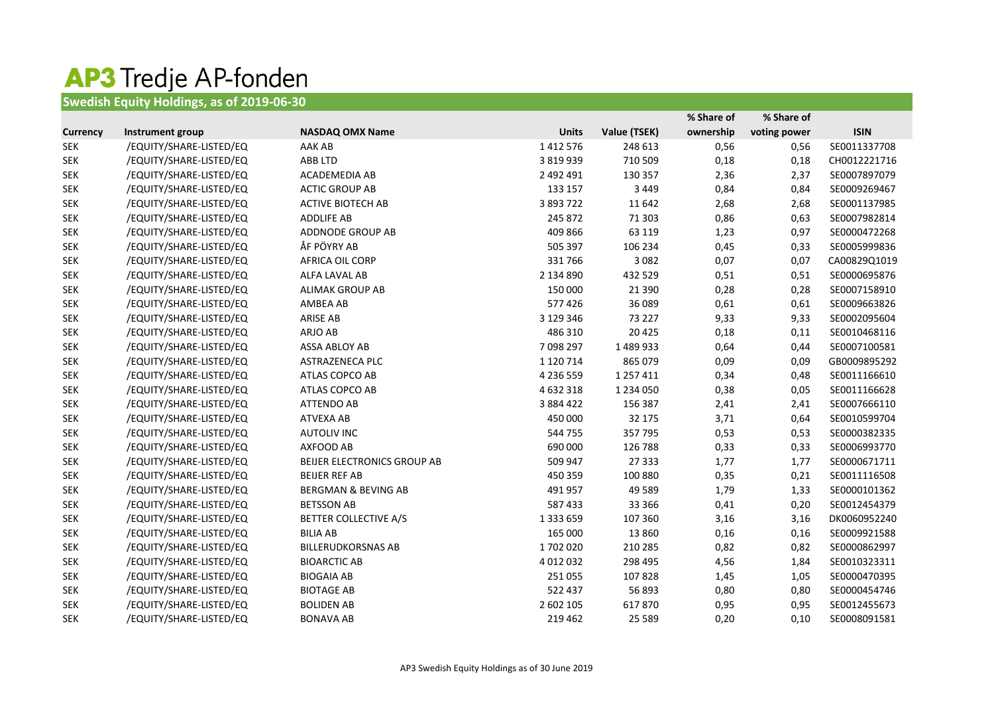## **AP3 Tredje AP-fonden**<br>Swedish Equity Holdings, as of 2019-06-30

|                 |                         |                                |               |               | % Share of | % Share of   |              |
|-----------------|-------------------------|--------------------------------|---------------|---------------|------------|--------------|--------------|
| <b>Currency</b> | Instrument group        | <b>NASDAQ OMX Name</b>         | <b>Units</b>  | Value (TSEK)  | ownership  | voting power | <b>ISIN</b>  |
| <b>SEK</b>      | /EQUITY/SHARE-LISTED/EQ | AAK AB                         | 1 4 1 2 5 7 6 | 248 613       | 0,56       | 0,56         | SE0011337708 |
| <b>SEK</b>      | /EQUITY/SHARE-LISTED/EQ | <b>ABB LTD</b>                 | 3 8 1 9 9 3 9 | 710 509       | 0,18       | 0,18         | CH0012221716 |
| <b>SEK</b>      | /EQUITY/SHARE-LISTED/EQ | ACADEMEDIA AB                  | 2 492 491     | 130 357       | 2,36       | 2,37         | SE0007897079 |
| <b>SEK</b>      | /EQUITY/SHARE-LISTED/EQ | <b>ACTIC GROUP AB</b>          | 133 157       | 3 4 4 9       | 0,84       | 0,84         | SE0009269467 |
| <b>SEK</b>      | /EQUITY/SHARE-LISTED/EQ | <b>ACTIVE BIOTECH AB</b>       | 3 893 722     | 11 642        | 2,68       | 2,68         | SE0001137985 |
| <b>SEK</b>      | /EQUITY/SHARE-LISTED/EQ | <b>ADDLIFE AB</b>              | 245 872       | 71 303        | 0,86       | 0,63         | SE0007982814 |
| <b>SEK</b>      | /EQUITY/SHARE-LISTED/EQ | ADDNODE GROUP AB               | 409 866       | 63 119        | 1,23       | 0,97         | SE0000472268 |
| <b>SEK</b>      | /EQUITY/SHARE-LISTED/EQ | ÅF PÖYRY AB                    | 505 397       | 106 234       | 0,45       | 0,33         | SE0005999836 |
| <b>SEK</b>      | /EQUITY/SHARE-LISTED/EQ | <b>AFRICA OIL CORP</b>         | 331766        | 3 0 8 2       | 0,07       | 0,07         | CA00829Q1019 |
| <b>SEK</b>      | /EQUITY/SHARE-LISTED/EQ | ALFA LAVAL AB                  | 2 134 890     | 432 529       | 0,51       | 0,51         | SE0000695876 |
| <b>SEK</b>      | /EQUITY/SHARE-LISTED/EQ | <b>ALIMAK GROUP AB</b>         | 150 000       | 21 3 90       | 0,28       | 0,28         | SE0007158910 |
| <b>SEK</b>      | /EQUITY/SHARE-LISTED/EQ | AMBEA AB                       | 577 426       | 36 089        | 0,61       | 0,61         | SE0009663826 |
| <b>SEK</b>      | /EQUITY/SHARE-LISTED/EQ | <b>ARISE AB</b>                | 3 129 346     | 73 227        | 9,33       | 9,33         | SE0002095604 |
| <b>SEK</b>      | /EQUITY/SHARE-LISTED/EQ | ARJO AB                        | 486 310       | 20 4 25       | 0,18       | 0,11         | SE0010468116 |
| <b>SEK</b>      | /EQUITY/SHARE-LISTED/EQ | ASSA ABLOY AB                  | 7098297       | 1489933       | 0,64       | 0,44         | SE0007100581 |
| <b>SEK</b>      | /EQUITY/SHARE-LISTED/EQ | <b>ASTRAZENECA PLC</b>         | 1 1 2 0 7 1 4 | 865 079       | 0,09       | 0,09         | GB0009895292 |
| <b>SEK</b>      | /EQUITY/SHARE-LISTED/EQ | ATLAS COPCO AB                 | 4 236 559     | 1 257 411     | 0,34       | 0,48         | SE0011166610 |
| <b>SEK</b>      | /EQUITY/SHARE-LISTED/EQ | ATLAS COPCO AB                 | 4 632 318     | 1 2 3 4 0 5 0 | 0,38       | 0,05         | SE0011166628 |
| <b>SEK</b>      | /EQUITY/SHARE-LISTED/EQ | <b>ATTENDO AB</b>              | 3 8 8 4 4 2 2 | 156 387       | 2,41       | 2,41         | SE0007666110 |
| <b>SEK</b>      | /EQUITY/SHARE-LISTED/EQ | <b>ATVEXA AB</b>               | 450 000       | 32 175        | 3,71       | 0,64         | SE0010599704 |
| <b>SEK</b>      | /EQUITY/SHARE-LISTED/EQ | <b>AUTOLIV INC</b>             | 544 755       | 357795        | 0,53       | 0,53         | SE0000382335 |
| <b>SEK</b>      | /EQUITY/SHARE-LISTED/EQ | AXFOOD AB                      | 690 000       | 126 788       | 0,33       | 0,33         | SE0006993770 |
| <b>SEK</b>      | /EQUITY/SHARE-LISTED/EQ | BEIJER ELECTRONICS GROUP AB    | 509 947       | 27 3 33       | 1,77       | 1,77         | SE0000671711 |
| <b>SEK</b>      | /EQUITY/SHARE-LISTED/EQ | <b>BEIJER REF AB</b>           | 450 359       | 100 880       | 0,35       | 0,21         | SE0011116508 |
| <b>SEK</b>      | /EQUITY/SHARE-LISTED/EQ | <b>BERGMAN &amp; BEVING AB</b> | 491 957       | 49 5 89       | 1,79       | 1,33         | SE0000101362 |
| <b>SEK</b>      | /EQUITY/SHARE-LISTED/EQ | <b>BETSSON AB</b>              | 587 433       | 33 366        | 0,41       | 0,20         | SE0012454379 |
| <b>SEK</b>      | /EQUITY/SHARE-LISTED/EQ | <b>BETTER COLLECTIVE A/S</b>   | 1 3 3 6 5 9   | 107 360       | 3,16       | 3,16         | DK0060952240 |
| <b>SEK</b>      | /EQUITY/SHARE-LISTED/EQ | <b>BILIA AB</b>                | 165 000       | 13 8 60       | 0,16       | 0,16         | SE0009921588 |
| <b>SEK</b>      | /EQUITY/SHARE-LISTED/EQ | <b>BILLERUDKORSNAS AB</b>      | 1702020       | 210 285       | 0,82       | 0,82         | SE0000862997 |
| <b>SEK</b>      | /EQUITY/SHARE-LISTED/EQ | <b>BIOARCTIC AB</b>            | 4 0 1 2 0 3 2 | 298 495       | 4,56       | 1,84         | SE0010323311 |
| <b>SEK</b>      | /EQUITY/SHARE-LISTED/EQ | <b>BIOGAIA AB</b>              | 251055        | 107828        | 1,45       | 1,05         | SE0000470395 |
| <b>SEK</b>      | /EQUITY/SHARE-LISTED/EQ | <b>BIOTAGE AB</b>              | 522 437       | 56 893        | 0,80       | 0,80         | SE0000454746 |
| <b>SEK</b>      | /EQUITY/SHARE-LISTED/EQ | <b>BOLIDEN AB</b>              | 2 602 105     | 617870        | 0,95       | 0,95         | SE0012455673 |
| <b>SEK</b>      | /EQUITY/SHARE-LISTED/EQ | <b>BONAVA AB</b>               | 219 462       | 25 5 89       | 0,20       | 0,10         | SE0008091581 |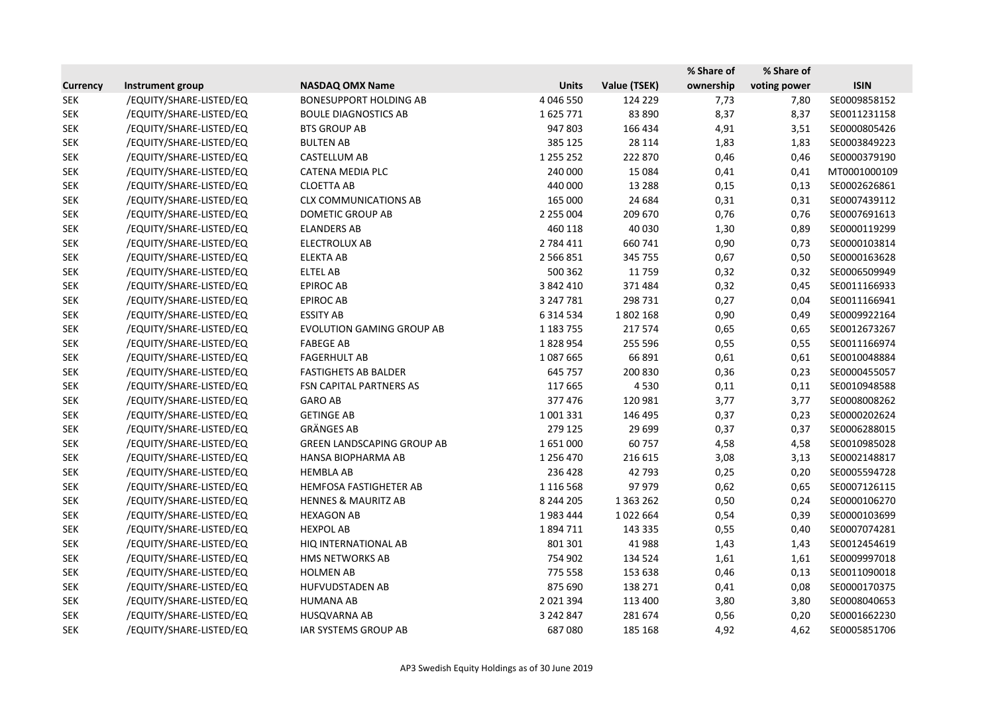|                 |                         |                                   |               |               | % Share of | % Share of   |              |
|-----------------|-------------------------|-----------------------------------|---------------|---------------|------------|--------------|--------------|
| <b>Currency</b> | Instrument group        | <b>NASDAQ OMX Name</b>            | <b>Units</b>  | Value (TSEK)  | ownership  | voting power | <b>ISIN</b>  |
| <b>SEK</b>      | /EQUITY/SHARE-LISTED/EQ | <b>BONESUPPORT HOLDING AB</b>     | 4 046 550     | 124 229       | 7,73       | 7,80         | SE0009858152 |
| <b>SEK</b>      | /EQUITY/SHARE-LISTED/EQ | <b>BOULE DIAGNOSTICS AB</b>       | 1625771       | 83 890        | 8,37       | 8,37         | SE0011231158 |
| <b>SEK</b>      | /EQUITY/SHARE-LISTED/EQ | <b>BTS GROUP AB</b>               | 947 803       | 166 434       | 4,91       | 3,51         | SE0000805426 |
| <b>SEK</b>      | /EQUITY/SHARE-LISTED/EQ | <b>BULTEN AB</b>                  | 385 125       | 28 114        | 1,83       | 1,83         | SE0003849223 |
| <b>SEK</b>      | /EQUITY/SHARE-LISTED/EQ | CASTELLUM AB                      | 1 255 252     | 222 870       | 0,46       | 0,46         | SE0000379190 |
| <b>SEK</b>      | /EQUITY/SHARE-LISTED/EQ | <b>CATENA MEDIA PLC</b>           | 240 000       | 15 0 84       | 0,41       | 0,41         | MT0001000109 |
| <b>SEK</b>      | /EQUITY/SHARE-LISTED/EQ | <b>CLOETTA AB</b>                 | 440 000       | 13 2 8 8      | 0,15       | 0,13         | SE0002626861 |
| <b>SEK</b>      | /EQUITY/SHARE-LISTED/EQ | <b>CLX COMMUNICATIONS AB</b>      | 165 000       | 24 684        | 0,31       | 0,31         | SE0007439112 |
| <b>SEK</b>      | /EQUITY/SHARE-LISTED/EQ | DOMETIC GROUP AB                  | 2 2 5 0 0 0 4 | 209 670       | 0,76       | 0,76         | SE0007691613 |
| <b>SEK</b>      | /EQUITY/SHARE-LISTED/EQ | <b>ELANDERS AB</b>                | 460 118       | 40 030        | 1,30       | 0,89         | SE0000119299 |
| <b>SEK</b>      | /EQUITY/SHARE-LISTED/EQ | ELECTROLUX AB                     | 2 784 411     | 660741        | 0,90       | 0,73         | SE0000103814 |
| <b>SEK</b>      | /EQUITY/SHARE-LISTED/EQ | <b>ELEKTA AB</b>                  | 2 5 6 6 8 5 1 | 345 755       | 0,67       | 0,50         | SE0000163628 |
| <b>SEK</b>      | /EQUITY/SHARE-LISTED/EQ | <b>ELTEL AB</b>                   | 500 362       | 11759         | 0,32       | 0,32         | SE0006509949 |
| <b>SEK</b>      | /EQUITY/SHARE-LISTED/EQ | <b>EPIROC AB</b>                  | 3 842 410     | 371484        | 0,32       | 0,45         | SE0011166933 |
| <b>SEK</b>      | /EQUITY/SHARE-LISTED/EQ | <b>EPIROC AB</b>                  | 3 247 781     | 298 731       | 0,27       | 0,04         | SE0011166941 |
| <b>SEK</b>      | /EQUITY/SHARE-LISTED/EQ | <b>ESSITY AB</b>                  | 6 3 1 4 5 3 4 | 1802168       | 0,90       | 0,49         | SE0009922164 |
| <b>SEK</b>      | /EQUITY/SHARE-LISTED/EQ | <b>EVOLUTION GAMING GROUP AB</b>  | 1 183 755     | 217574        | 0,65       | 0,65         | SE0012673267 |
| <b>SEK</b>      | /EQUITY/SHARE-LISTED/EQ | <b>FABEGE AB</b>                  | 1828954       | 255 596       | 0,55       | 0,55         | SE0011166974 |
| <b>SEK</b>      | /EQUITY/SHARE-LISTED/EQ | <b>FAGERHULT AB</b>               | 1087665       | 66 891        | 0,61       | 0,61         | SE0010048884 |
| <b>SEK</b>      | /EQUITY/SHARE-LISTED/EQ | <b>FASTIGHETS AB BALDER</b>       | 645 757       | 200 830       | 0,36       | 0,23         | SE0000455057 |
| <b>SEK</b>      | /EQUITY/SHARE-LISTED/EQ | FSN CAPITAL PARTNERS AS           | 117 665       | 4530          | 0,11       | 0,11         | SE0010948588 |
| <b>SEK</b>      | /EQUITY/SHARE-LISTED/EQ | <b>GARO AB</b>                    | 377 476       | 120981        | 3,77       | 3,77         | SE0008008262 |
| <b>SEK</b>      | /EQUITY/SHARE-LISTED/EQ | <b>GETINGE AB</b>                 | 1 001 331     | 146 495       | 0,37       | 0,23         | SE0000202624 |
| <b>SEK</b>      | /EQUITY/SHARE-LISTED/EQ | <b>GRÄNGES AB</b>                 | 279 125       | 29 699        | 0,37       | 0,37         | SE0006288015 |
| <b>SEK</b>      | /EQUITY/SHARE-LISTED/EQ | <b>GREEN LANDSCAPING GROUP AB</b> | 1651000       | 60757         | 4,58       | 4,58         | SE0010985028 |
| <b>SEK</b>      | /EQUITY/SHARE-LISTED/EQ | HANSA BIOPHARMA AB                | 1 256 470     | 216 615       | 3,08       | 3,13         | SE0002148817 |
| <b>SEK</b>      | /EQUITY/SHARE-LISTED/EQ | <b>HEMBLA AB</b>                  | 236 428       | 42 793        | 0,25       | 0,20         | SE0005594728 |
| <b>SEK</b>      | /EQUITY/SHARE-LISTED/EQ | HEMFOSA FASTIGHETER AB            | 1 1 1 6 5 6 8 | 97979         | 0,62       | 0,65         | SE0007126115 |
| <b>SEK</b>      | /EQUITY/SHARE-LISTED/EQ | <b>HENNES &amp; MAURITZ AB</b>    | 8 244 205     | 1 3 6 3 2 6 2 | 0,50       | 0,24         | SE0000106270 |
| <b>SEK</b>      | /EQUITY/SHARE-LISTED/EQ | <b>HEXAGON AB</b>                 | 1983444       | 1022664       | 0,54       | 0,39         | SE0000103699 |
| <b>SEK</b>      | /EQUITY/SHARE-LISTED/EQ | <b>HEXPOL AB</b>                  | 1894711       | 143 335       | 0,55       | 0,40         | SE0007074281 |
| <b>SEK</b>      | /EQUITY/SHARE-LISTED/EQ | HIQ INTERNATIONAL AB              | 801 301       | 41 988        | 1,43       | 1,43         | SE0012454619 |
| <b>SEK</b>      | /EQUITY/SHARE-LISTED/EQ | <b>HMS NETWORKS AB</b>            | 754 902       | 134 524       | 1,61       | 1,61         | SE0009997018 |
| <b>SEK</b>      | /EQUITY/SHARE-LISTED/EQ | <b>HOLMEN AB</b>                  | 775 558       | 153 638       | 0,46       | 0,13         | SE0011090018 |
| <b>SEK</b>      | /EQUITY/SHARE-LISTED/EQ | <b>HUFVUDSTADEN AB</b>            | 875 690       | 138 271       | 0,41       | 0,08         | SE0000170375 |
| <b>SEK</b>      | /EQUITY/SHARE-LISTED/EQ | <b>HUMANA AB</b>                  | 2 0 2 1 3 9 4 | 113 400       | 3,80       | 3,80         | SE0008040653 |
| <b>SEK</b>      | /EQUITY/SHARE-LISTED/EQ | HUSQVARNA AB                      | 3 242 847     | 281 674       | 0,56       | 0,20         | SE0001662230 |
| <b>SEK</b>      | /EQUITY/SHARE-LISTED/EQ | IAR SYSTEMS GROUP AB              | 687080        | 185 168       | 4,92       | 4,62         | SE0005851706 |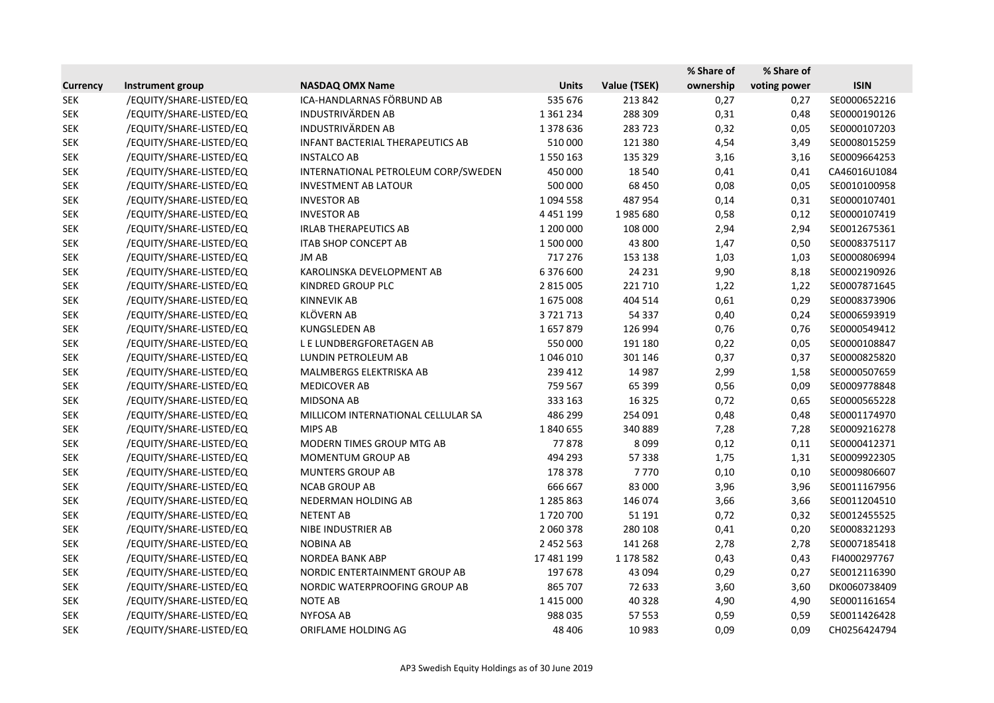|                 |                         |                                         |               |              | % Share of | % Share of   |              |
|-----------------|-------------------------|-----------------------------------------|---------------|--------------|------------|--------------|--------------|
| <b>Currency</b> | Instrument group        | <b>NASDAQ OMX Name</b>                  | <b>Units</b>  | Value (TSEK) | ownership  | voting power | <b>ISIN</b>  |
| <b>SEK</b>      | /EQUITY/SHARE-LISTED/EQ | ICA-HANDLARNAS FÖRBUND AB               | 535 676       | 213 842      | 0,27       | 0,27         | SE0000652216 |
| <b>SEK</b>      | /EQUITY/SHARE-LISTED/EQ | <b>INDUSTRIVÄRDEN AB</b>                | 1 3 6 1 2 3 4 | 288 309      | 0,31       | 0,48         | SE0000190126 |
| <b>SEK</b>      | /EQUITY/SHARE-LISTED/EQ | <b>INDUSTRIVÄRDEN AB</b>                | 1378636       | 283723       | 0,32       | 0,05         | SE0000107203 |
| <b>SEK</b>      | /EQUITY/SHARE-LISTED/EQ | <b>INFANT BACTERIAL THERAPEUTICS AB</b> | 510 000       | 121 380      | 4,54       | 3,49         | SE0008015259 |
| <b>SEK</b>      | /EQUITY/SHARE-LISTED/EQ | <b>INSTALCO AB</b>                      | 1550163       | 135 329      | 3,16       | 3,16         | SE0009664253 |
| <b>SEK</b>      | /EQUITY/SHARE-LISTED/EQ | INTERNATIONAL PETROLEUM CORP/SWEDEN     | 450 000       | 18 540       | 0,41       | 0,41         | CA46016U1084 |
| <b>SEK</b>      | /EQUITY/SHARE-LISTED/EQ | <b>INVESTMENT AB LATOUR</b>             | 500 000       | 68 450       | 0,08       | 0,05         | SE0010100958 |
| <b>SEK</b>      | /EQUITY/SHARE-LISTED/EQ | <b>INVESTOR AB</b>                      | 1094558       | 487954       | 0,14       | 0,31         | SE0000107401 |
| <b>SEK</b>      | /EQUITY/SHARE-LISTED/EQ | <b>INVESTOR AB</b>                      | 4 4 5 1 1 9 9 | 1985680      | 0,58       | 0,12         | SE0000107419 |
| <b>SEK</b>      | /EQUITY/SHARE-LISTED/EQ | <b>IRLAB THERAPEUTICS AB</b>            | 1 200 000     | 108 000      | 2,94       | 2,94         | SE0012675361 |
| <b>SEK</b>      | /EQUITY/SHARE-LISTED/EQ | <b>ITAB SHOP CONCEPT AB</b>             | 1 500 000     | 43 800       | 1,47       | 0,50         | SE0008375117 |
| <b>SEK</b>      | /EQUITY/SHARE-LISTED/EQ | JM AB                                   | 717 276       | 153 138      | 1,03       | 1,03         | SE0000806994 |
| <b>SEK</b>      | /EQUITY/SHARE-LISTED/EQ | KAROLINSKA DEVELOPMENT AB               | 6 376 600     | 24 2 31      | 9,90       | 8,18         | SE0002190926 |
| <b>SEK</b>      | /EQUITY/SHARE-LISTED/EQ | KINDRED GROUP PLC                       | 2 8 1 5 0 0 5 | 221710       | 1,22       | 1,22         | SE0007871645 |
| <b>SEK</b>      | /EQUITY/SHARE-LISTED/EQ | <b>KINNEVIK AB</b>                      | 1675008       | 404 514      | 0,61       | 0,29         | SE0008373906 |
| <b>SEK</b>      | /EQUITY/SHARE-LISTED/EQ | <b>KLÖVERN AB</b>                       | 3721713       | 54 337       | 0,40       | 0,24         | SE0006593919 |
| <b>SEK</b>      | /EQUITY/SHARE-LISTED/EQ | <b>KUNGSLEDEN AB</b>                    | 1657879       | 126 994      | 0,76       | 0,76         | SE0000549412 |
| <b>SEK</b>      | /EQUITY/SHARE-LISTED/EQ | L E LUNDBERGFORETAGEN AB                | 550 000       | 191 180      | 0,22       | 0,05         | SE0000108847 |
| <b>SEK</b>      | /EQUITY/SHARE-LISTED/EQ | LUNDIN PETROLEUM AB                     | 1 046 010     | 301 146      | 0,37       | 0,37         | SE0000825820 |
| <b>SEK</b>      | /EQUITY/SHARE-LISTED/EQ | MALMBERGS ELEKTRISKA AB                 | 239 412       | 14 987       | 2,99       | 1,58         | SE0000507659 |
| <b>SEK</b>      | /EQUITY/SHARE-LISTED/EQ | <b>MEDICOVER AB</b>                     | 759 567       | 65 399       | 0,56       | 0,09         | SE0009778848 |
| <b>SEK</b>      | /EQUITY/SHARE-LISTED/EQ | MIDSONA AB                              | 333 163       | 16 3 25      | 0,72       | 0,65         | SE0000565228 |
| <b>SEK</b>      | /EQUITY/SHARE-LISTED/EQ | MILLICOM INTERNATIONAL CELLULAR SA      | 486 299       | 254 091      | 0,48       | 0,48         | SE0001174970 |
| <b>SEK</b>      | /EQUITY/SHARE-LISTED/EQ | MIPS AB                                 | 1840655       | 340 889      | 7,28       | 7,28         | SE0009216278 |
| <b>SEK</b>      | /EQUITY/SHARE-LISTED/EQ | MODERN TIMES GROUP MTG AB               | 77878         | 8099         | 0,12       | 0,11         | SE0000412371 |
| <b>SEK</b>      | /EQUITY/SHARE-LISTED/EQ | <b>MOMENTUM GROUP AB</b>                | 494 293       | 57 338       | 1,75       | 1,31         | SE0009922305 |
| <b>SEK</b>      | /EQUITY/SHARE-LISTED/EQ | <b>MUNTERS GROUP AB</b>                 | 178 378       | 7770         | 0,10       | 0,10         | SE0009806607 |
| <b>SEK</b>      | /EQUITY/SHARE-LISTED/EQ | <b>NCAB GROUP AB</b>                    | 666 667       | 83 000       | 3,96       | 3,96         | SE0011167956 |
| <b>SEK</b>      | /EQUITY/SHARE-LISTED/EQ | NEDERMAN HOLDING AB                     | 1 285 863     | 146 074      | 3,66       | 3,66         | SE0011204510 |
| <b>SEK</b>      | /EQUITY/SHARE-LISTED/EQ | <b>NETENT AB</b>                        | 1720700       | 51 191       | 0,72       | 0,32         | SE0012455525 |
| <b>SEK</b>      | /EQUITY/SHARE-LISTED/EQ | NIBE INDUSTRIER AB                      | 2 060 378     | 280 108      | 0,41       | 0,20         | SE0008321293 |
| <b>SEK</b>      | /EQUITY/SHARE-LISTED/EQ | <b>NOBINA AB</b>                        | 2 452 563     | 141 268      | 2,78       | 2,78         | SE0007185418 |
| <b>SEK</b>      | /EQUITY/SHARE-LISTED/EQ | NORDEA BANK ABP                         | 17 481 199    | 1 178 582    | 0,43       | 0,43         | FI4000297767 |
| <b>SEK</b>      | /EQUITY/SHARE-LISTED/EQ | NORDIC ENTERTAINMENT GROUP AB           | 197 678       | 43 094       | 0,29       | 0,27         | SE0012116390 |
| <b>SEK</b>      | /EQUITY/SHARE-LISTED/EQ | NORDIC WATERPROOFING GROUP AB           | 865 707       | 72 633       | 3,60       | 3,60         | DK0060738409 |
| <b>SEK</b>      | /EQUITY/SHARE-LISTED/EQ | NOTE AB                                 | 1 4 1 5 0 0 0 | 40 328       | 4,90       | 4,90         | SE0001161654 |
| <b>SEK</b>      | /EQUITY/SHARE-LISTED/EQ | <b>NYFOSA AB</b>                        | 988 035       | 57 553       | 0,59       | 0,59         | SE0011426428 |
| <b>SEK</b>      | /EQUITY/SHARE-LISTED/EQ | ORIFLAME HOLDING AG                     | 48 40 6       | 10 983       | 0,09       | 0,09         | CH0256424794 |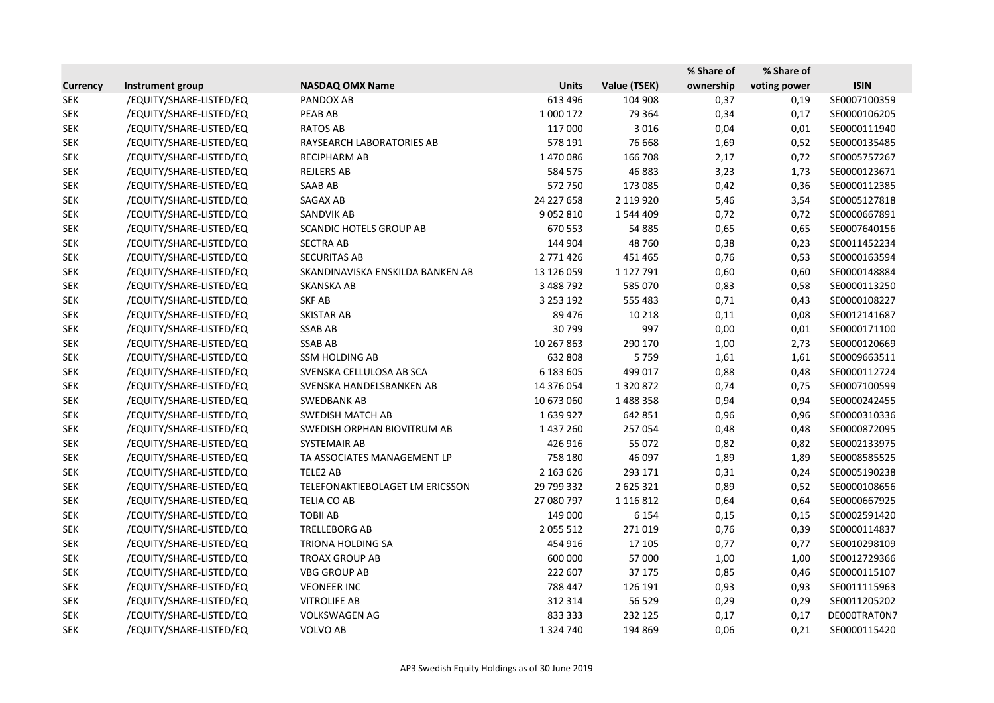|                 |                         |                                  |               |               | % Share of | % Share of   |              |
|-----------------|-------------------------|----------------------------------|---------------|---------------|------------|--------------|--------------|
| <b>Currency</b> | Instrument group        | <b>NASDAQ OMX Name</b>           | <b>Units</b>  | Value (TSEK)  | ownership  | voting power | <b>ISIN</b>  |
| <b>SEK</b>      | /EQUITY/SHARE-LISTED/EQ | PANDOX AB                        | 613 496       | 104 908       | 0,37       | 0,19         | SE0007100359 |
| <b>SEK</b>      | /EQUITY/SHARE-LISTED/EQ | PEAB AB                          | 1 000 172     | 79 364        | 0,34       | 0,17         | SE0000106205 |
| <b>SEK</b>      | /EQUITY/SHARE-LISTED/EQ | <b>RATOS AB</b>                  | 117 000       | 3016          | 0,04       | 0,01         | SE0000111940 |
| <b>SEK</b>      | /EQUITY/SHARE-LISTED/EQ | RAYSEARCH LABORATORIES AB        | 578 191       | 76 668        | 1,69       | 0,52         | SE0000135485 |
| <b>SEK</b>      | /EQUITY/SHARE-LISTED/EQ | RECIPHARM AB                     | 1470086       | 166 708       | 2,17       | 0,72         | SE0005757267 |
| <b>SEK</b>      | /EQUITY/SHARE-LISTED/EQ | <b>REJLERS AB</b>                | 584 575       | 46 883        | 3,23       | 1,73         | SE0000123671 |
| <b>SEK</b>      | /EQUITY/SHARE-LISTED/EQ | SAAB AB                          | 572 750       | 173 085       | 0,42       | 0,36         | SE0000112385 |
| <b>SEK</b>      | /EQUITY/SHARE-LISTED/EQ | SAGAX AB                         | 24 227 658    | 2 119 9 20    | 5,46       | 3,54         | SE0005127818 |
| <b>SEK</b>      | /EQUITY/SHARE-LISTED/EQ | <b>SANDVIK AB</b>                | 9 0 5 2 8 1 0 | 1544409       | 0,72       | 0,72         | SE0000667891 |
| <b>SEK</b>      | /EQUITY/SHARE-LISTED/EQ | <b>SCANDIC HOTELS GROUP AB</b>   | 670 553       | 54 885        | 0,65       | 0,65         | SE0007640156 |
| <b>SEK</b>      | /EQUITY/SHARE-LISTED/EQ | <b>SECTRA AB</b>                 | 144 904       | 48 760        | 0,38       | 0,23         | SE0011452234 |
| <b>SEK</b>      | /EQUITY/SHARE-LISTED/EQ | <b>SECURITAS AB</b>              | 2 771 426     | 451 465       | 0,76       | 0,53         | SE0000163594 |
| <b>SEK</b>      | /EQUITY/SHARE-LISTED/EQ | SKANDINAVISKA ENSKILDA BANKEN AB | 13 126 059    | 1 127 791     | 0,60       | 0,60         | SE0000148884 |
| <b>SEK</b>      | /EQUITY/SHARE-LISTED/EQ | <b>SKANSKA AB</b>                | 3 488 792     | 585 070       | 0,83       | 0,58         | SE0000113250 |
| <b>SEK</b>      | /EQUITY/SHARE-LISTED/EQ | <b>SKF AB</b>                    | 3 2 5 3 1 9 2 | 555 483       | 0,71       | 0,43         | SE0000108227 |
| <b>SEK</b>      | /EQUITY/SHARE-LISTED/EQ | <b>SKISTAR AB</b>                | 89 476        | 10 218        | 0,11       | 0,08         | SE0012141687 |
| <b>SEK</b>      | /EQUITY/SHARE-LISTED/EQ | <b>SSAB AB</b>                   | 30799         | 997           | 0,00       | 0,01         | SE0000171100 |
| <b>SEK</b>      | /EQUITY/SHARE-LISTED/EQ | <b>SSAB AB</b>                   | 10 267 863    | 290 170       | 1,00       | 2,73         | SE0000120669 |
| <b>SEK</b>      | /EQUITY/SHARE-LISTED/EQ | <b>SSM HOLDING AB</b>            | 632 808       | 5759          | 1,61       | 1,61         | SE0009663511 |
| <b>SEK</b>      | /EQUITY/SHARE-LISTED/EQ | SVENSKA CELLULOSA AB SCA         | 6 183 605     | 499 017       | 0,88       | 0,48         | SE0000112724 |
| <b>SEK</b>      | /EQUITY/SHARE-LISTED/EQ | SVENSKA HANDELSBANKEN AB         | 14 376 054    | 1320872       | 0,74       | 0,75         | SE0007100599 |
| <b>SEK</b>      | /EQUITY/SHARE-LISTED/EQ | <b>SWEDBANK AB</b>               | 10 673 060    | 1488358       | 0,94       | 0,94         | SE0000242455 |
| <b>SEK</b>      | /EQUITY/SHARE-LISTED/EQ | <b>SWEDISH MATCH AB</b>          | 1639927       | 642 851       | 0,96       | 0,96         | SE0000310336 |
| <b>SEK</b>      | /EQUITY/SHARE-LISTED/EQ | SWEDISH ORPHAN BIOVITRUM AB      | 1 437 260     | 257054        | 0,48       | 0,48         | SE0000872095 |
| <b>SEK</b>      | /EQUITY/SHARE-LISTED/EQ | SYSTEMAIR AB                     | 426 916       | 55 072        | 0,82       | 0,82         | SE0002133975 |
| <b>SEK</b>      | /EQUITY/SHARE-LISTED/EQ | TA ASSOCIATES MANAGEMENT LP      | 758 180       | 46 097        | 1,89       | 1,89         | SE0008585525 |
| <b>SEK</b>      | /EQUITY/SHARE-LISTED/EQ | TELE2 AB                         | 2 163 626     | 293 171       | 0,31       | 0,24         | SE0005190238 |
| <b>SEK</b>      | /EQUITY/SHARE-LISTED/EQ | TELEFONAKTIEBOLAGET LM ERICSSON  | 29 799 332    | 2 625 321     | 0,89       | 0,52         | SE0000108656 |
| <b>SEK</b>      | /EQUITY/SHARE-LISTED/EQ | <b>TELIA CO AB</b>               | 27 080 797    | 1 1 1 6 8 1 2 | 0,64       | 0,64         | SE0000667925 |
| <b>SEK</b>      | /EQUITY/SHARE-LISTED/EQ | TOBII AB                         | 149 000       | 6 1 5 4       | 0,15       | 0,15         | SE0002591420 |
| <b>SEK</b>      | /EQUITY/SHARE-LISTED/EQ | <b>TRELLEBORG AB</b>             | 2 0 5 5 5 1 2 | 271019        | 0,76       | 0,39         | SE0000114837 |
| <b>SEK</b>      | /EQUITY/SHARE-LISTED/EQ | TRIONA HOLDING SA                | 454 916       | 17 105        | 0,77       | 0,77         | SE0010298109 |
| <b>SEK</b>      | /EQUITY/SHARE-LISTED/EQ | <b>TROAX GROUP AB</b>            | 600 000       | 57 000        | 1,00       | 1,00         | SE0012729366 |
| <b>SEK</b>      | /EQUITY/SHARE-LISTED/EQ | <b>VBG GROUP AB</b>              | 222 607       | 37 175        | 0,85       | 0,46         | SE0000115107 |
| <b>SEK</b>      | /EQUITY/SHARE-LISTED/EQ | <b>VEONEER INC</b>               | 788 447       | 126 191       | 0,93       | 0,93         | SE0011115963 |
| <b>SEK</b>      | /EQUITY/SHARE-LISTED/EQ | <b>VITROLIFE AB</b>              | 312 314       | 56 529        | 0,29       | 0,29         | SE0011205202 |
| <b>SEK</b>      | /EQUITY/SHARE-LISTED/EQ | <b>VOLKSWAGEN AG</b>             | 833 333       | 232 125       | 0,17       | 0,17         | DE000TRAT0N7 |
| <b>SEK</b>      | /EQUITY/SHARE-LISTED/EQ | VOLVO AB                         | 1 3 2 4 7 4 0 | 194 869       | 0,06       | 0,21         | SE0000115420 |